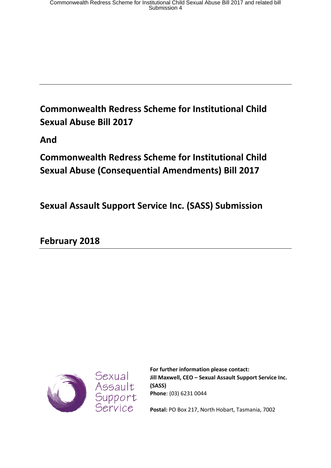# **Commonwealth Redress Scheme for Institutional Child Sexual Abuse Bill 2017**

**And** 

**Commonwealth Redress Scheme for Institutional Child Sexual Abuse (Consequential Amendments) Bill 2017** 

**Sexual Assault Support Service Inc. (SASS) Submission**

**February 2018**



**For further information please contact: Jill Maxwell, CEO – Sexual Assault Support Service Inc. (SASS) Phone**: (03) 6231 0044

**Postal:** PO Box 217, North Hobart, Tasmania, 7002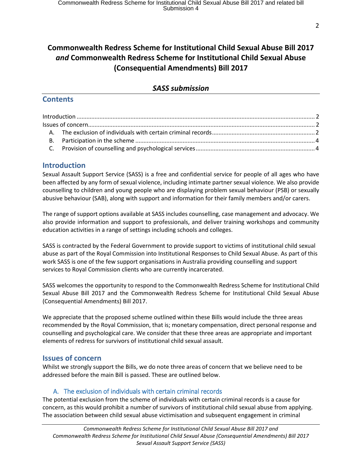## **Commonwealth Redress Scheme for Institutional Child Sexual Abuse Bill 2017**  *and* **Commonwealth Redress Scheme for Institutional Child Sexual Abuse (Consequential Amendments) Bill 2017**

#### *SASS submission*

#### **Contents**

#### <span id="page-1-0"></span>**Introduction**

Sexual Assault Support Service (SASS) is a free and confidential service for people of all ages who have been affected by any form of sexual violence, including intimate partner sexual violence. We also provide counselling to children and young people who are displaying problem sexual behaviour (PSB) or sexually abusive behaviour (SAB), along with support and information for their family members and/or carers.

The range of support options available at SASS includes counselling, case management and advocacy. We also provide information and support to professionals, and deliver training workshops and community education activities in a range of settings including schools and colleges.

SASS is contracted by the Federal Government to provide support to victims of institutional child sexual abuse as part of the Royal Commission into Institutional Responses to Child Sexual Abuse. As part of this work SASS is one of the few support organisations in Australia providing counselling and support services to Royal Commission clients who are currently incarcerated.

SASS welcomes the opportunity to respond to the Commonwealth Redress Scheme for Institutional Child Sexual Abuse Bill 2017 and the Commonwealth Redress Scheme for Institutional Child Sexual Abuse (Consequential Amendments) Bill 2017.

We appreciate that the proposed scheme outlined within these Bills would include the three areas recommended by the Royal Commission, that is; monetary compensation, direct personal response and counselling and psychological care. We consider that these three areas are appropriate and important elements of redress for survivors of institutional child sexual assault.

#### <span id="page-1-1"></span>**Issues of concern**

Whilst we strongly support the Bills, we do note three areas of concern that we believe need to be addressed before the main Bill is passed. These are outlined below.

#### A. The exclusion of individuals with certain criminal records

<span id="page-1-2"></span>The potential exclusion from the scheme of individuals with certain criminal records is a cause for concern, as this would prohibit a number of survivors of institutional child sexual abuse from applying. The association between child sexual abuse victimisation and subsequent engagement in criminal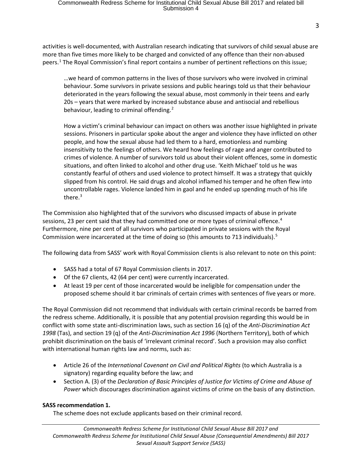activities is well-documented, with Australian research indicating that survivors of child sexual abuse are more than five times more likely to be charged and convicted of any offence than their non-abused peers. [1](#page-5-0) The Royal Commission's final report contains a number of pertinent reflections on this issue;

…we heard of common patterns in the lives of those survivors who were involved in criminal behaviour. Some survivors in private sessions and public hearings told us that their behaviour deteriorated in the years following the sexual abuse, most commonly in their teens and early 20s – years that were marked by increased substance abuse and antisocial and rebellious behaviour, leading to criminal offending.<sup>[2](#page-5-1)</sup>

How a victim's criminal behaviour can impact on others was another issue highlighted in private sessions. Prisoners in particular spoke about the anger and violence they have inflicted on other people, and how the sexual abuse had led them to a hard, emotionless and numbing insensitivity to the feelings of others. We heard how feelings of rage and anger contributed to crimes of violence. A number of survivors told us about their violent offences, some in domestic situations, and often linked to alcohol and other drug use. 'Keith Michael' told us he was constantly fearful of others and used violence to protect himself. It was a strategy that quickly slipped from his control. He said drugs and alcohol inflamed his temper and he often flew into uncontrollable rages. Violence landed him in gaol and he ended up spending much of his life there. $3$ 

The Commission also highlighted that of the survivors who discussed impacts of abuse in private sessions, 23 per cent said that they had committed one or more types of criminal offence.<sup>[4](#page-5-3)</sup> Furthermore, nine per cent of all survivors who participated in private sessions with the Royal Commission were incarcerated at the time of doing so (this amounts to 713 individuals).<sup>[5](#page-5-4)</sup>

The following data from SASS' work with Royal Commission clients is also relevant to note on this point:

- SASS had a total of 67 Royal Commission clients in 2017.
- Of the 67 clients, 42 (64 per cent) were currently incarcerated.
- At least 19 per cent of those incarcerated would be ineligible for compensation under the proposed scheme should it bar criminals of certain crimes with sentences of five years or more.

The Royal Commission did not recommend that individuals with certain criminal records be barred from the redress scheme. Additionally, it is possible that any potential provision regarding this would be in conflict with some state anti-discrimination laws, such as section 16 (q) of the *Anti-Discrimination Act 1998* (Tas), and section 19 (q) of the *Anti-Discrimination Act 1996* (Northern Territory), both of which prohibit discrimination on the basis of 'irrelevant criminal record'. Such a provision may also conflict with international human rights law and norms, such as:

- Article 26 of the *International Covenant on Civil and Political Rights* (to which Australia is a signatory) regarding equality before the law; and
- Section A. (3) of the *De*c*laration of Basic Principles of Justice for Victims of Crime and Abuse of Power* which discourages discrimination against victims of crime on the basis of any distinction.

#### **SASS recommendation 1.**

The scheme does not exclude applicants based on their criminal record.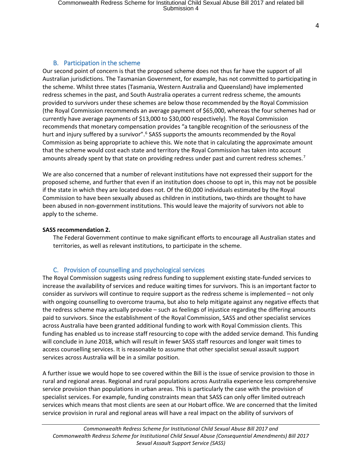### B. Participation in the scheme

<span id="page-3-0"></span>Our second point of concern is that the proposed scheme does not thus far have the support of all Australian jurisdictions. The Tasmanian Government, for example, has not committed to participating in the scheme. Whilst three states (Tasmania, Western Australia and Queensland) have implemented redress schemes in the past, and South Australia operates a current redress scheme, the amounts provided to survivors under these schemes are below those recommended by the Royal Commission (the Royal Commission recommends an average payment of \$65,000, whereas the four schemes had or currently have average payments of \$13,000 to \$30,000 respectively). The Royal Commission recommends that monetary compensation provides "a tangible recognition of the seriousness of the hurt and injury suffered by a survivor".<sup>[6](#page-5-5)</sup> SASS supports the amounts recommended by the Royal Commission as being appropriate to achieve this. We note that in calculating the approximate amount that the scheme would cost each state and territory the Royal Commission has taken into account amounts already spent by that state on providing redress under past and current redress schemes.<sup>[7](#page-5-6)</sup>

We are also concerned that a number of relevant institutions have not expressed their support for the proposed scheme, and further that even if an institution does choose to opt in, this may not be possible if the state in which they are located does not. Of the 60,000 individuals estimated by the Royal Commission to have been sexually abused as children in institutions, two-thirds are thought to have been abused in non-government institutions. This would leave the majority of survivors not able to apply to the scheme.

#### **SASS recommendation 2.**

The Federal Government continue to make significant efforts to encourage all Australian states and territories, as well as relevant institutions, to participate in the scheme.

#### C. Provision of counselling and psychological services

<span id="page-3-1"></span>The Royal Commission suggests using redress funding to supplement existing state-funded services to increase the availability of services and reduce waiting times for survivors. This is an important factor to consider as survivors will continue to require support as the redress scheme is implemented – not only with ongoing counselling to overcome trauma, but also to help mitigate against any negative effects that the redress scheme may actually provoke – such as feelings of injustice regarding the differing amounts paid to survivors. Since the establishment of the Royal Commission, SASS and other specialist services across Australia have been granted additional funding to work with Royal Commission clients. This funding has enabled us to increase staff resourcing to cope with the added service demand. This funding will conclude in June 2018, which will result in fewer SASS staff resources and longer wait times to access counselling services. It is reasonable to assume that other specialist sexual assault support services across Australia will be in a similar position.

A further issue we would hope to see covered within the Bill is the issue of service provision to those in rural and regional areas. Regional and rural populations across Australia experience less comprehensive service provision than populations in urban areas. This is particularly the case with the provision of specialist services. For example, funding constraints mean that SASS can only offer limited outreach services which means that most clients are seen at our Hobart office. We are concerned that the limited service provision in rural and regional areas will have a real impact on the ability of survivors of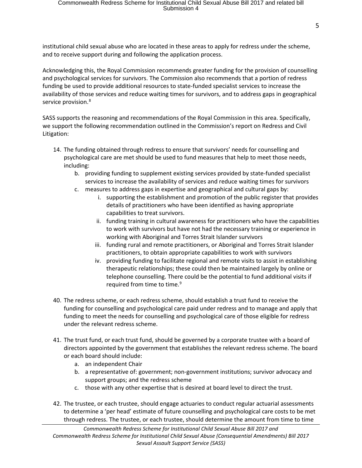institutional child sexual abuse who are located in these areas to apply for redress under the scheme, and to receive support during and following the application process.

Acknowledging this, the Royal Commission recommends greater funding for the provision of counselling and psychological services for survivors. The Commission also recommends that a portion of redress funding be used to provide additional resources to state-funded specialist services to increase the availability of those services and reduce waiting times for survivors, and to address gaps in geographical service provision.<sup>[8](#page-5-7)</sup>

SASS supports the reasoning and recommendations of the Royal Commission in this area. Specifically, we support the following recommendation outlined in the Commission's report on Redress and Civil Litigation:

- 14. The funding obtained through redress to ensure that survivors' needs for counselling and psychological care are met should be used to fund measures that help to meet those needs, including:
	- b. providing funding to supplement existing services provided by state-funded specialist services to increase the availability of services and reduce waiting times for survivors
	- c. measures to address gaps in expertise and geographical and cultural gaps by:
		- i. supporting the establishment and promotion of the public register that provides details of practitioners who have been identified as having appropriate capabilities to treat survivors.
		- ii. funding training in cultural awareness for practitioners who have the capabilities to work with survivors but have not had the necessary training or experience in working with Aboriginal and Torres Strait Islander survivors
		- iii. funding rural and remote practitioners, or Aboriginal and Torres Strait Islander practitioners, to obtain appropriate capabilities to work with survivors
		- iv. providing funding to facilitate regional and remote visits to assist in establishing therapeutic relationships; these could then be maintained largely by online or telephone counselling. There could be the potential to fund additional visits if required from time to time.<sup>[9](#page-5-8)</sup>
- 40. The redress scheme, or each redress scheme, should establish a trust fund to receive the funding for counselling and psychological care paid under redress and to manage and apply that funding to meet the needs for counselling and psychological care of those eligible for redress under the relevant redress scheme.
- 41. The trust fund, or each trust fund, should be governed by a corporate trustee with a board of directors appointed by the government that establishes the relevant redress scheme. The board or each board should include:
	- a. an independent Chair
	- b. a representative of: government; non-government institutions; survivor advocacy and support groups; and the redress scheme
	- c. those with any other expertise that is desired at board level to direct the trust.
- 42. The trustee, or each trustee, should engage actuaries to conduct regular actuarial assessments to determine a 'per head' estimate of future counselling and psychological care costs to be met through redress. The trustee, or each trustee, should determine the amount from time to time